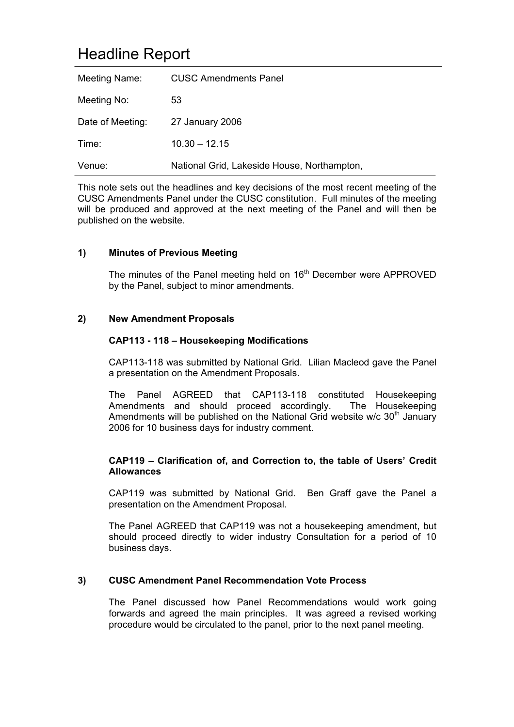# Headline Report

| Meeting Name:    | <b>CUSC Amendments Panel</b>                |
|------------------|---------------------------------------------|
| Meeting No:      | 53                                          |
| Date of Meeting: | 27 January 2006                             |
| Time:            | $10.30 - 12.15$                             |
| Venue:           | National Grid, Lakeside House, Northampton, |

This note sets out the headlines and key decisions of the most recent meeting of the CUSC Amendments Panel under the CUSC constitution. Full minutes of the meeting will be produced and approved at the next meeting of the Panel and will then be published on the website.

### **1) Minutes of Previous Meeting**

The minutes of the Panel meeting held on 16<sup>th</sup> December were APPROVED by the Panel, subject to minor amendments.

#### **2) New Amendment Proposals**

#### **CAP113 - 118 – Housekeeping Modifications**

CAP113-118 was submitted by National Grid. Lilian Macleod gave the Panel a presentation on the Amendment Proposals.

The Panel AGREED that CAP113-118 constituted Housekeeping Amendments and should proceed accordingly. The Housekeeping Amendments will be published on the National Grid website w/c  $30<sup>th</sup>$  January 2006 for 10 business days for industry comment.

#### **CAP119 – Clarification of, and Correction to, the table of Users' Credit Allowances**

CAP119 was submitted by National Grid. Ben Graff gave the Panel a presentation on the Amendment Proposal.

The Panel AGREED that CAP119 was not a housekeeping amendment, but should proceed directly to wider industry Consultation for a period of 10 business days.

#### **3) CUSC Amendment Panel Recommendation Vote Process**

The Panel discussed how Panel Recommendations would work going forwards and agreed the main principles. It was agreed a revised working procedure would be circulated to the panel, prior to the next panel meeting.